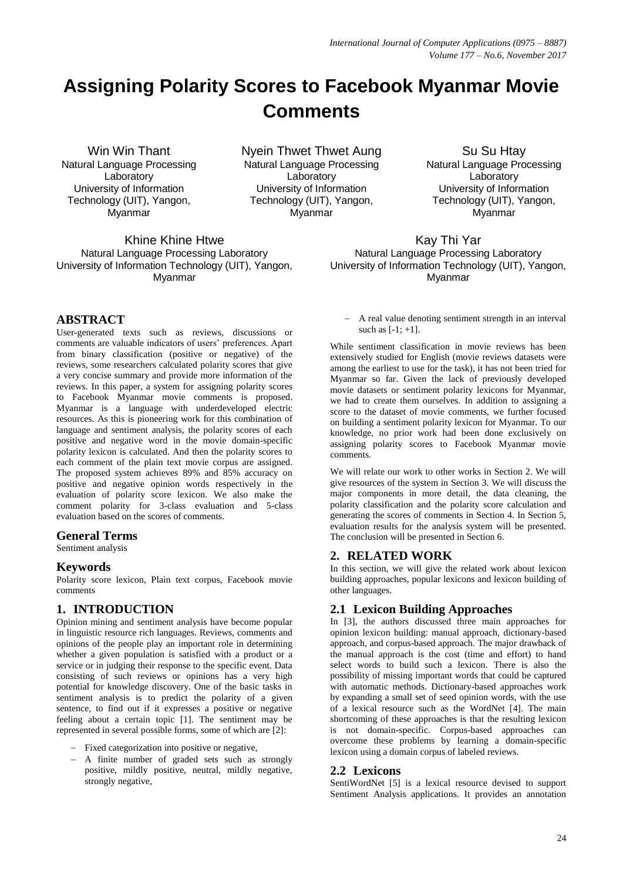# **Assigning Polarity Scores to Facebook Myanmar Movie Comments**

Win Win Thant Natural Language Processing **Laboratory** University of Information Technology (UIT), Yangon, Myanmar

Nyein Thwet Thwet Aung Natural Language Processing **Laboratory** University of Information Technology (UIT), Yangon, Myanmar

Su Su Htay Natural Language Processing **Laboratory** University of Information Technology (UIT), Yangon, Myanmar

Kay Thi Yar Natural Language Processing Laboratory University of Information Technology (UIT), Yangon, Myanmar

**ABSTRACT**

User-generated texts such as reviews, discussions or comments are valuable indicators of users' preferences. Apart from binary classification (positive or negative) of the reviews, some researchers calculated polarity scores that give a very concise summary and provide more information of the reviews. In this paper, a system for assigning polarity scores to Facebook Myanmar movie comments is proposed. Myanmar is a language with underdeveloped electric resources. As this is pioneering work for this combination of language and sentiment analysis, the polarity scores of each positive and negative word in the movie domain-specific polarity lexicon is calculated. And then the polarity scores to each comment of the plain text movie corpus are assigned. The proposed system achieves 89% and 85% accuracy on positive and negative opinion words respectively in the evaluation of polarity score lexicon. We also make the comment polarity for 3-class evaluation and 5-class evaluation based on the scores of comments.

Khine Khine Htwe Natural Language Processing Laboratory University of Information Technology (UIT), Yangon, Myanmar

#### **General Terms**

Sentiment analysis

#### **Keywords**

Polarity score lexicon, Plain text corpus, Facebook movie comments

## **1. INTRODUCTION**

Opinion mining and sentiment analysis have become popular in linguistic resource rich languages. Reviews, comments and opinions of the people play an important role in determining whether a given population is satisfied with a product or a service or in judging their response to the specific event. Data consisting of such reviews or opinions has a very high potential for knowledge discovery. One of the basic tasks in sentiment analysis is to predict the polarity of a given sentence, to find out if it expresses a positive or negative feeling about a certain topic [1]. The sentiment may be represented in several possible forms, some of which are [2]:

- Fixed categorization into positive or negative,
- A finite number of graded sets such as strongly positive, mildly positive, neutral, mildly negative, strongly negative,

 A real value denoting sentiment strength in an interval such as  $[-1; +1]$ .

While sentiment classification in movie reviews has been extensively studied for English (movie reviews datasets were among the earliest to use for the task), it has not been tried for Myanmar so far. Given the lack of previously developed movie datasets or sentiment polarity lexicons for Myanmar, we had to create them ourselves. In addition to assigning a score to the dataset of movie comments, we further focused on building a sentiment polarity lexicon for Myanmar. To our knowledge, no prior work had been done exclusively on assigning polarity scores to Facebook Myanmar movie comments.

We will relate our work to other works in Section 2. We will give resources of the system in Section 3. We will discuss the major components in more detail, the data cleaning, the polarity classification and the polarity score calculation and generating the scores of comments in Section 4. In Section 5, evaluation results for the analysis system will be presented. The conclusion will be presented in Section 6.

#### **2. RELATED WORK**

In this section, we will give the related work about lexicon building approaches, popular lexicons and lexicon building of other languages.

## **2.1 Lexicon Building Approaches**

In [3], the authors discussed three main approaches for opinion lexicon building: manual approach, dictionary-based approach, and corpus-based approach. The major drawback of the manual approach is the cost (time and effort) to hand select words to build such a lexicon. There is also the possibility of missing important words that could be captured with automatic methods. Dictionary-based approaches work by expanding a small set of seed opinion words, with the use of a lexical resource such as the WordNet [4]. The main shortcoming of these approaches is that the resulting lexicon is not domain-specific. Corpus-based approaches can overcome these problems by learning a domain-specific lexicon using a domain corpus of labeled reviews.

#### **2.2 Lexicons**

SentiWordNet [5] is a lexical resource devised to support Sentiment Analysis applications. It provides an annotation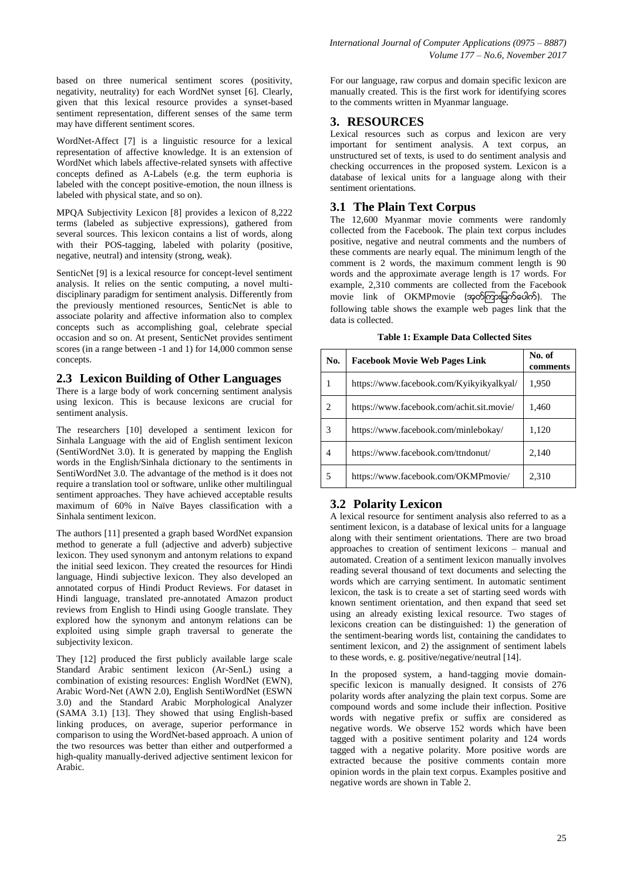based on three numerical sentiment scores (positivity, negativity, neutrality) for each WordNet synset [6]. Clearly, given that this lexical resource provides a synset-based sentiment representation, different senses of the same term may have different sentiment scores.

WordNet-Affect [7] is a linguistic resource for a lexical representation of affective knowledge. It is an extension of WordNet which labels affective-related synsets with affective concepts defined as A-Labels (e.g. the term euphoria is labeled with the concept positive-emotion, the noun illness is labeled with physical state, and so on).

MPQA Subjectivity Lexicon [8] provides a lexicon of 8,222 terms (labeled as subjective expressions), gathered from several sources. This lexicon contains a list of words, along with their POS-tagging, labeled with polarity (positive, negative, neutral) and intensity (strong, weak).

SenticNet [9] is a lexical resource for concept-level sentiment analysis. It relies on the sentic computing, a novel multidisciplinary paradigm for sentiment analysis. Differently from the previously mentioned resources, SenticNet is able to associate polarity and affective information also to complex concepts such as accomplishing goal, celebrate special occasion and so on. At present, SenticNet provides sentiment scores (in a range between -1 and 1) for 14,000 common sense concepts.

## **2.3 Lexicon Building of Other Languages**

There is a large body of work concerning sentiment analysis using lexicon. This is because lexicons are crucial for sentiment analysis.

The researchers [10] developed a sentiment lexicon for Sinhala Language with the aid of English sentiment lexicon (SentiWordNet 3.0). It is generated by mapping the English words in the English/Sinhala dictionary to the sentiments in SentiWordNet 3.0. The advantage of the method is it does not require a translation tool or software, unlike other multilingual sentiment approaches. They have achieved acceptable results maximum of 60% in Naïve Bayes classification with a Sinhala sentiment lexicon.

The authors [11] presented a graph based WordNet expansion method to generate a full (adjective and adverb) subjective lexicon. They used synonym and antonym relations to expand the initial seed lexicon. They created the resources for Hindi language, Hindi subjective lexicon. They also developed an annotated corpus of Hindi Product Reviews. For dataset in Hindi language, translated pre-annotated Amazon product reviews from English to Hindi using Google translate. They explored how the synonym and antonym relations can be exploited using simple graph traversal to generate the subjectivity lexicon.

They [12] produced the first publicly available large scale Standard Arabic sentiment lexicon (Ar-SenL) using a combination of existing resources: English WordNet (EWN), Arabic Word-Net (AWN 2.0), English SentiWordNet (ESWN 3.0) and the Standard Arabic Morphological Analyzer (SAMA 3.1) [13]. They showed that using English-based linking produces, on average, superior performance in comparison to using the WordNet-based approach. A union of the two resources was better than either and outperformed a high-quality manually-derived adjective sentiment lexicon for Arabic.

For our language, raw corpus and domain specific lexicon are manually created. This is the first work for identifying scores to the comments written in Myanmar language.

## **3. RESOURCES**

Lexical resources such as corpus and lexicon are very important for sentiment analysis. A text corpus, an unstructured set of texts, is used to do sentiment analysis and checking occurrences in the proposed system. Lexicon is a database of lexical units for a language along with their sentiment orientations.

#### **3.1 The Plain Text Corpus**

The 12,600 Myanmar movie comments were randomly collected from the Facebook. The plain text corpus includes positive, negative and neutral comments and the numbers of these comments are nearly equal. The minimum length of the comment is 2 words, the maximum comment length is 90 words and the approximate average length is 17 words. For example, 2,310 comments are collected from the Facebook movie link of OKMPmovie (အုတ်ကြားမြက်ပေါက်). The following table shows the example web pages link that the data is collected.

| No. | <b>Facebook Movie Web Pages Link</b>      | No. of<br>comments |
|-----|-------------------------------------------|--------------------|
| 1   | https://www.facebook.com/Kyikyikyalkyal/  | 1,950              |
| 2   | https://www.facebook.com/achit.sit.movie/ | 1,460              |
| 3   | https://www.facebook.com/minlebokay/      | 1,120              |
| 4   | https://www.facebook.com/ttndonut/        | 2,140              |
| 5   | https://www.facebook.com/OKMPmovie/       | 2,310              |

## **3.2 Polarity Lexicon**

A lexical resource for sentiment analysis also referred to as a sentiment lexicon, is a database of lexical units for a language along with their sentiment orientations. There are two broad approaches to creation of sentiment lexicons – manual and automated. Creation of a sentiment lexicon manually involves reading several thousand of text documents and selecting the words which are carrying sentiment. In automatic sentiment lexicon, the task is to create a set of starting seed words with known sentiment orientation, and then expand that seed set using an already existing lexical resource. Two stages of lexicons creation can be distinguished: 1) the generation of the sentiment-bearing words list, containing the candidates to sentiment lexicon, and 2) the assignment of sentiment labels to these words, e. g. positive/negative/neutral [14].

In the proposed system, a hand-tagging movie domainspecific lexicon is manually designed. It consists of 276 polarity words after analyzing the plain text corpus. Some are compound words and some include their inflection. Positive words with negative prefix or suffix are considered as negative words. We observe 152 words which have been tagged with a positive sentiment polarity and 124 words tagged with a negative polarity. More positive words are extracted because the positive comments contain more opinion words in the plain text corpus. Examples positive and negative words are shown in Table 2.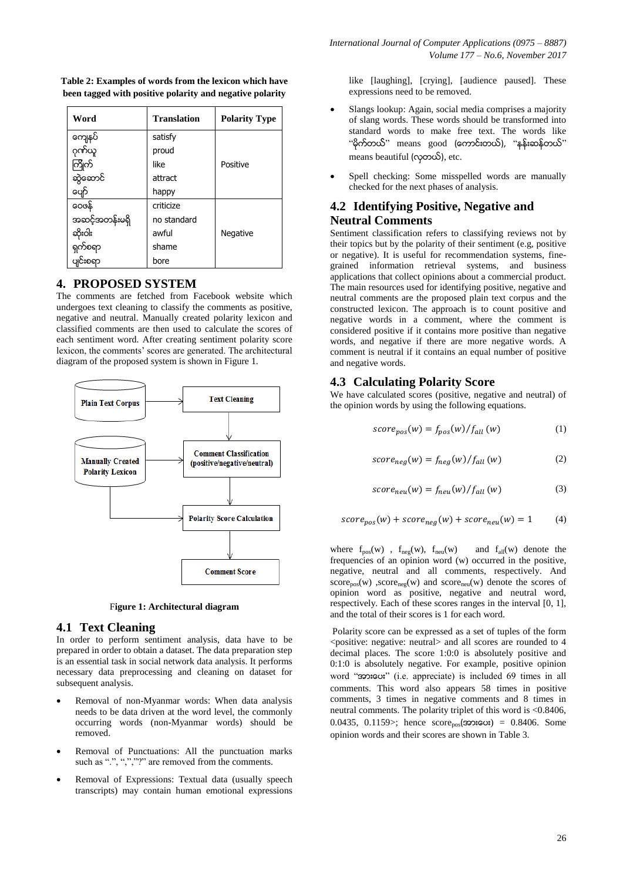**Table 2: Examples of words from the lexicon which have been tagged with positive polarity and negative polarity**

| Word                | <b>Translation</b> | <b>Polarity Type</b> |
|---------------------|--------------------|----------------------|
| ကျေနပ်              | satisfy            |                      |
| ဂုဏ်ယူ              | proud              |                      |
| ကြိုက်              | like               | Positive             |
| သွဲဆောင်            | attract            |                      |
| ပျော်               | happy              |                      |
| ဝေဖန်               | criticize          |                      |
| အဆင့်အတန်းမရှိ      | no standard        |                      |
| ဆိုးဝါး             | awful              | <b>Negative</b>      |
| ရှက်စရာ<br>ပျင်းစရာ | shame              |                      |
|                     | bore               |                      |

# **4. PROPOSED SYSTEM**

The comments are fetched from Facebook website which undergoes text cleaning to classify the comments as positive, negative and neutral. Manually created polarity lexicon and classified comments are then used to calculate the scores of each sentiment word. After creating sentiment polarity score lexicon, the comments' scores are generated. The architectural diagram of the proposed system is shown in Figure 1.



F**igure 1: Architectural diagram**

## **4.1 Text Cleaning**

In order to perform sentiment analysis, data have to be prepared in order to obtain a dataset. The data preparation step is an essential task in social network data analysis. It performs necessary data preprocessing and cleaning on dataset for subsequent analysis.

- Removal of non-Myanmar words: When data analysis needs to be data driven at the word level, the commonly occurring words (non-Myanmar words) should be removed.
- Removal of Punctuations: All the punctuation marks such as " $\ldots$ ", "?" are removed from the comments.
- Removal of Expressions: Textual data (usually speech transcripts) may contain human emotional expressions

like [laughing], [crying], [audience paused]. These expressions need to be removed.

- Slangs lookup: Again, social media comprises a majority of slang words. These words should be transformed into standard words to make free text. The words like  $"$ မိုက်တယ် $"$  means good (ကောင်းတယ်),  $"$ နန်းဆန်တယ် $"$  $means$  beautiful ( $\infty$  $\infty$  $\delta$ ), etc.
- Spell checking: Some misspelled words are manually checked for the next phases of analysis.

# **4.2 Identifying Positive, Negative and Neutral Comments**

Sentiment classification refers to classifying reviews not by their topics but by the polarity of their sentiment (e.g, positive or negative). It is useful for recommendation systems, finegrained information retrieval systems, and business applications that collect opinions about a commercial product. The main resources used for identifying positive, negative and neutral comments are the proposed plain text corpus and the constructed lexicon. The approach is to count positive and negative words in a comment, where the comment is considered positive if it contains more positive than negative words, and negative if there are more negative words. A comment is neutral if it contains an equal number of positive and negative words.

# **4.3 Calculating Polarity Score**

We have calculated scores (positive, negative and neutral) of the opinion words by using the following equations.

$$
score_{pos}(w) = f_{pos}(w) / f_{all}(w)
$$
 (1)

$$
score_{neg}(w) = f_{neg}(w) / f_{all}(w)
$$
 (2)

$$
score_{neu}(w) = f_{neu}(w) / f_{all}(w)
$$
 (3)

$$
score_{pos}(w) + score_{neg}(w) + score_{neu}(w) = 1
$$
 (4)

where  $f_{pos}(w)$ ,  $f_{neg}(w)$ ,  $f_{neu}(w)$  and  $f_{all}(w)$  denote the frequencies of an opinion word (w) occurred in the positive, negative, neutral and all comments, respectively. And  $score_{pos}(w)$ ,  $score_{neg}(w)$  and  $score_{neu}(w)$  denote the scores of opinion word as positive, negative and neutral word, respectively. Each of these scores ranges in the interval [0, 1], and the total of their scores is 1 for each word.

Polarity score can be expressed as a set of tuples of the form <positive: negative: neutral> and all scores are rounded to 4 decimal places. The score 1:0:0 is absolutely positive and 0:1:0 is absolutely negative. For example, positive opinion word "  $\infty$  " (i.e. appreciate) is included 69 times in all comments. This word also appears 58 times in positive comments, 3 times in negative comments and 8 times in neutral comments. The polarity triplet of this word is <0.8406, 0.0435, 0.1159>; hence  $score_{pos}$ ( $\omega$ ) = 0.8406. Some opinion words and their scores are shown in Table 3.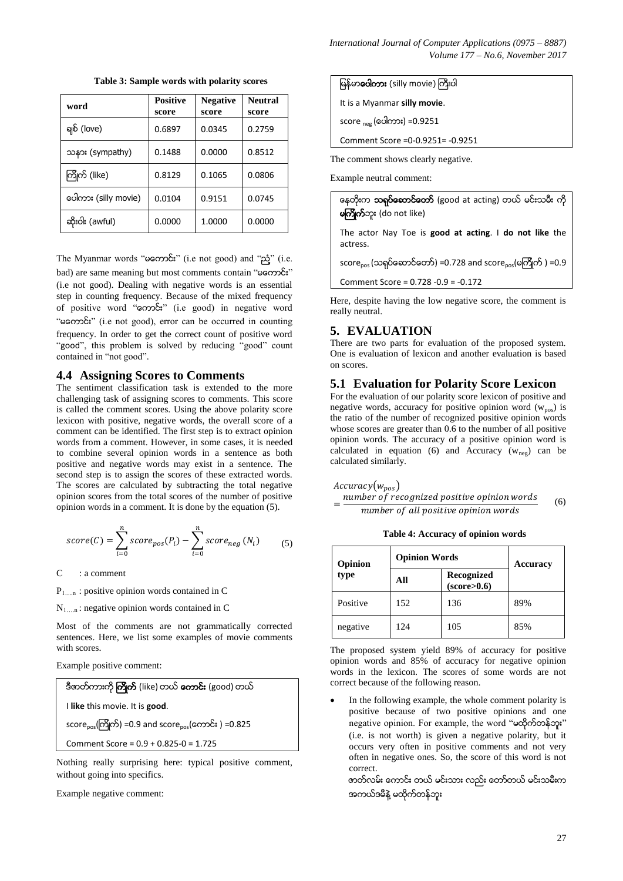| word                   | <b>Positive</b><br>score | <b>Negative</b><br>score | <b>Neutral</b><br>score |
|------------------------|--------------------------|--------------------------|-------------------------|
| ချစ် (love)            | 0.6897                   | 0.0345                   | 0.2759                  |
| သန <b>း</b> (sympathy) | 0.1488                   | 0.0000                   | 0.8512                  |
| ကြိုက် (like)          | 0.8129                   | 0.1065                   | 0.0806                  |
| ပေါကား (silly movie)   | 0.0104                   | 0.9151                   | 0.0745                  |
| ဆိုးဝါး (awful)        | 0.0000                   | 1.0000                   | 0.0000                  |

**Table 3: Sample words with polarity scores**

The Myanmar words " " (i.e not good) and " ႔" (i.e. bad) are same meaning but most comments contain " $\omega$ comest" (i.e not good). Dealing with negative words is an essential step in counting frequency. Because of the mixed frequency of positive word " moses" (i.e good) in negative word " wacoses" (i.e not good), error can be occurred in counting frequency. In order to get the correct count of positive word "good", this problem is solved by reducing "good" count contained in "not good".

#### **4.4 Assigning Scores to Comments**

The sentiment classification task is extended to the more challenging task of assigning scores to comments. This score is called the comment scores. Using the above polarity score lexicon with positive, negative words, the overall score of a comment can be identified. The first step is to extract opinion words from a comment. However, in some cases, it is needed to combine several opinion words in a sentence as both positive and negative words may exist in a sentence. The second step is to assign the scores of these extracted words. The scores are calculated by subtracting the total negative opinion scores from the total scores of the number of positive opinion words in a comment. It is done by the equation (5).

$$
score(C) = \sum_{i=0}^{n} score_{pos}(P_i) - \sum_{i=0}^{n} score_{neg}(N_i)
$$
 (5)

 $C \t : a \text{ comment}$ 

 $P_{1}$  … positive opinion words contained in C

 $N_1$ <sub>n</sub>: negative opinion words contained in C

Most of the comments are not grammatically corrected sentences. Here, we list some examples of movie comments with scores.

Example positive comment:

ဒီဇာတ်ကားကို **ကြိုက်** (like) တယ် **ကောင်း** (good) တယ် I **like** this movie. It is **good**. score<sub>pos</sub>(ကြိုက်) =0.9 and score<sub>pos</sub>(ကောင်း ) =0.825 Comment Score = 0.9 + 0.825-0 = 1.725

Nothing really surprising here: typical positive comment, without going into specifics.

Example negative comment:

မြန်မာ**ပေါကား** (silly movie) ကြီးပါ

It is a Myanmar **silly movie**.

score  $_{\text{neg}}$  (ပေါကား) =0.9251

Comment Score =0-0.9251= -0.9251

The comment shows clearly negative.

Example neutral comment:

နေတိုးက **သရုပ်ဆောင်တော်** (good at acting) တယ် မင်းသမီး ကို မကြိုက်ဘူး (do not like) The actor Nay Toe is **good at acting**. I **do not like** the actress.

score<sub>pos</sub> (သရုပ်ဆောင်တော်) =0.728 and score<sub>pos</sub>(မကြိုက် ) =0.9

Comment Score = 0.728 -0.9 = -0.172

Here, despite having the low negative score, the comment is really neutral.

#### **5. EVALUATION**

There are two parts for evaluation of the proposed system. One is evaluation of lexicon and another evaluation is based on scores.

#### **5.1 Evaluation for Polarity Score Lexicon**

For the evaluation of our polarity score lexicon of positive and negative words, accuracy for positive opinion word  $(w_{pos})$  is the ratio of the number of recognized positive opinion words whose scores are greater than 0.6 to the number of all positive opinion words. The accuracy of a positive opinion word is calculated in equation (6) and Accuracy  $(w_{\text{neg}})$  can be calculated similarly.

 $Accuracy(w_{pos})$  $=$ number of recognized positive opinion words number of all positive opinion words (6)

**Table 4: Accuracy of opinion words**

| Opinion  | <b>Opinion Words</b> | <b>Accuracy</b>           |     |
|----------|----------------------|---------------------------|-----|
| type     | All                  | Recognized<br>(score>0.6) |     |
| Positive | 152                  | 136                       | 89% |
| negative | 124                  | 105                       | 85% |

The proposed system yield 89% of accuracy for positive opinion words and 85% of accuracy for negative opinion words in the lexicon. The scores of some words are not correct because of the following reason.

 In the following example, the whole comment polarity is positive because of two positive opinions and one negative opinion. For example, the word " $\omega$ တိုက်တန်ဘူး" (i.e. is not worth) is given a negative polarity, but it occurs very often in positive comments and not very often in negative ones. So, the score of this word is not correct.

ဇာတ်လမ်း ကောင်း တယ် မင်းသား လည်း တော်တယ် မင်းသမီးက အကယ်ဒမီနဲ့ မထိုက်တန်ဘူး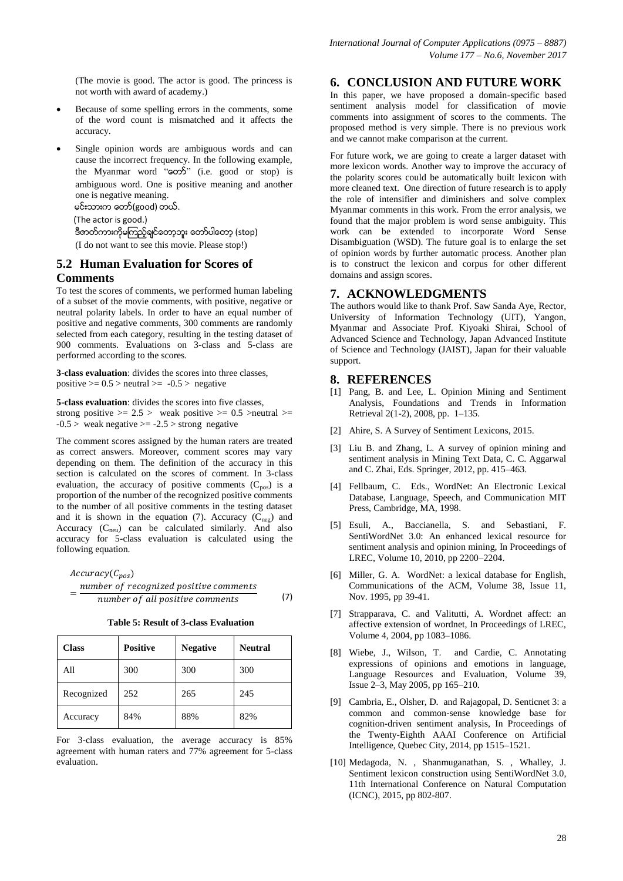(The movie is good. The actor is good. The princess is not worth with award of academy.)

- Because of some spelling errors in the comments, some of the word count is mismatched and it affects the accuracy.
- Single opinion words are ambiguous words and can cause the incorrect frequency. In the following example, the Myanmar word "  $\infty$ <sup>"</sup> (i.e. good or stop) is ambiguous word. One is positive meaning and another one is negative meaning. မင်းသားက တော်(good) တယ်. (The actor is good.)

ဒီဇာတ်ကားကိုမကြည့်ချင်တော့ဘူး တော်ပါတော့ (stop) (I do not want to see this movie. Please stop!)

# **5.2 Human Evaluation for Scores of Comments**

To test the scores of comments, we performed human labeling of a subset of the movie comments, with positive, negative or neutral polarity labels. In order to have an equal number of positive and negative comments, 300 comments are randomly selected from each category, resulting in the testing dataset of 900 comments. Evaluations on 3-class and 5-class are performed according to the scores.

**3-class evaluation**: divides the scores into three classes, positive  $> = 0.5$  > neutral  $> = -0.5$  > negative

**5-class evaluation**: divides the scores into five classes, strong positive  $> = 2.5$  > weak positive  $> = 0.5$  >neutral  $> =$  $-0.5$  > weak negative  $\ge$   $-2.5$  > strong negative

The comment scores assigned by the human raters are treated as correct answers. Moreover, comment scores may vary depending on them. The definition of the accuracy in this section is calculated on the scores of comment. In 3-class evaluation, the accuracy of positive comments  $(C_{pos})$  is a proportion of the number of the recognized positive comments to the number of all positive comments in the testing dataset and it is shown in the equation (7). Accuracy  $(C_{\text{neg}})$  and Accuracy  $(C_{\text{neu}})$  can be calculated similarly. And also accuracy for 5-class evaluation is calculated using the following equation.

 $Accuracy(C_{pos})$  $=\frac{n}{2}$ number of all positive comments (7)

| Table 5: Result of 3-class Evaluation |  |
|---------------------------------------|--|
|---------------------------------------|--|

| <b>Class</b> | <b>Positive</b> | <b>Negative</b> | <b>Neutral</b> |
|--------------|-----------------|-----------------|----------------|
| All          | 300             | 300             | 300            |
| Recognized   | 252             | 265             | 245            |
| Accuracy     | 84%             | 88%             | 82%            |

For 3-class evaluation, the average accuracy is 85% agreement with human raters and 77% agreement for 5-class evaluation.

#### **6. CONCLUSION AND FUTURE WORK**

In this paper, we have proposed a domain-specific based sentiment analysis model for classification of movie comments into assignment of scores to the comments. The proposed method is very simple. There is no previous work and we cannot make comparison at the current.

For future work, we are going to create a larger dataset with more lexicon words. Another way to improve the accuracy of the polarity scores could be automatically built lexicon with more cleaned text. One direction of future research is to apply the role of intensifier and diminishers and solve complex Myanmar comments in this work. From the error analysis, we found that the major problem is word sense ambiguity. This work can be extended to incorporate Word Sense Disambiguation (WSD). The future goal is to enlarge the set of opinion words by further automatic process. Another plan is to construct the lexicon and corpus for other different domains and assign scores.

#### **7. ACKNOWLEDGMENTS**

The authors would like to thank Prof. Saw Sanda Aye, Rector, University of Information Technology (UIT), Yangon, Myanmar and Associate Prof. Kiyoaki Shirai, School of Advanced Science and Technology, Japan Advanced Institute of Science and Technology (JAIST), Japan for their valuable support.

#### **8. REFERENCES**

- [1] Pang, B. and Lee, L. Opinion Mining and Sentiment Analysis, Foundations and Trends in Information Retrieval 2(1-2), 2008, pp. 1–135.
- [2] Ahire, S. A Survey of Sentiment Lexicons, 2015.
- [3] Liu B. and Zhang, L. A survey of opinion mining and sentiment analysis in Mining Text Data, C. C. Aggarwal and C. Zhai, Eds. Springer, 2012, pp. 415–463.
- [4] Fellbaum, C. Eds., WordNet: An Electronic Lexical Database, Language, Speech, and Communication MIT Press, Cambridge, MA, 1998.
- [5] Esuli, A., Baccianella, S. and Sebastiani, F. SentiWordNet 3.0: An enhanced lexical resource for sentiment analysis and opinion mining, In Proceedings of LREC, Volume 10, 2010, pp 2200–2204.
- [6] Miller, G. A. WordNet: a lexical database for English, Communications of the ACM, Volume 38, Issue 11, Nov. 1995, pp 39-41.
- [7] Strapparava, C. and Valitutti, A. Wordnet affect: an affective extension of wordnet, In Proceedings of LREC, Volume 4, 2004, pp 1083–1086.
- [8] Wiebe, J., Wilson, T. and Cardie, C. Annotating expressions of opinions and emotions in language, [Language Resources and Evaluation,](https://link.springer.com/journal/10579) Volume 39, [Issue](https://link.springer.com/journal/10579/39/2/page/1) 2–3, May 2005, pp 165–210.
- [9] Cambria, E., Olsher, D. and Rajagopal, D. Senticnet 3: a common and common-sense knowledge base for cognition-driven sentiment analysis, In Proceedings of the Twenty-Eighth AAAI Conference on Artificial Intelligence, Quebec City, 2014, pp 1515–1521.
- [10] Medagoda, N. , Shanmuganathan, S. , Whalley, J. [Sentiment lexicon construction using SentiWordNet 3.0,](https://scholar.google.com/citations?view_op=view_citation&hl=en&user=xDb6_pQAAAAJ&citation_for_view=xDb6_pQAAAAJ:Y0pCki6q_DkC) 11th International Conference on Natural Computation (ICNC), 2015, pp 802-807.